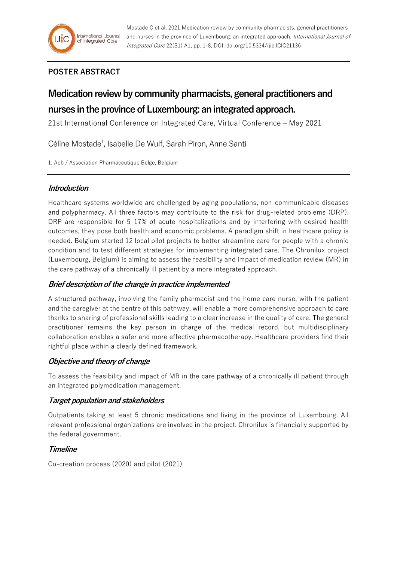# **POSTER ABSTRACT**

# **Medication review by community pharmacists, general practitioners and nurses in the province of Luxembourg: an integrated approach.**

21st International Conference on Integrated Care, Virtual Conference – May 2021

Céline Mostade<sup>1</sup>, Isabelle De Wulf, Sarah Piron, Anne Santi

1: Apb / Association Pharmaceutique Belge, Belgium

# **Introduction**

Healthcare systems worldwide are challenged by aging populations, non-communicable diseases and polypharmacy. All three factors may contribute to the risk for drug-related problems (DRP). DRP are responsible for 5–17% of acute hospitalizations and by interfering with desired health outcomes, they pose both health and economic problems. A paradigm shift in healthcare policy is needed. Belgium started 12 local pilot projects to better streamline care for people with a chronic condition and to test different strategies for implementing integrated care. The Chronilux project (Luxembourg, Belgium) is aiming to assess the feasibility and impact of medication review (MR) in the care pathway of a chronically ill patient by a more integrated approach.

# **Brief description of the change in practice implemented**

A structured pathway, involving the family pharmacist and the home care nurse, with the patient and the caregiver at the centre of this pathway, will enable a more comprehensive approach to care thanks to sharing of professional skills leading to a clear increase in the quality of care. The general practitioner remains the key person in charge of the medical record, but multidisciplinary collaboration enables a safer and more effective pharmacotherapy. Healthcare providers find their rightful place within a clearly defined framework.

# **Objective and theory of change**

To assess the feasibility and impact of MR in the care pathway of a chronically ill patient through an integrated polymedication management.

# **Target population and stakeholders**

Outpatients taking at least 5 chronic medications and living in the province of Luxembourg. All relevant professional organizations are involved in the project. Chronilux is financially supported by the federal government.

# **Timeline**

Co-creation process (2020) and pilot (2021)